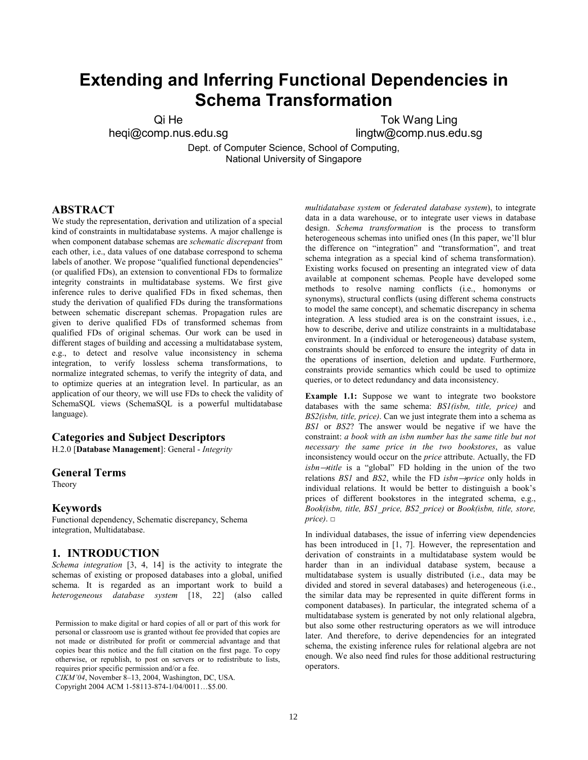# **Extending and Inferring Functional Dependencies in Schema Transformation**

Qi He

heqi@comp.nus.edu.sg

Tok Wang Ling lingtw@comp.nus.edu.sg

Dept. of Computer Science, School of Computing, National University of Singapore

### **ABSTRACT**

We study the representation, derivation and utilization of a special kind of constraints in multidatabase systems. A major challenge is when component database schemas are *schematic discrepant* from each other, i.e., data values of one database correspond to schema labels of another. We propose "qualified functional dependencies" (or qualified FDs), an extension to conventional FDs to formalize integrity constraints in multidatabase systems. We first give inference rules to derive qualified FDs in fixed schemas, then study the derivation of qualified FDs during the transformations between schematic discrepant schemas. Propagation rules are given to derive qualified FDs of transformed schemas from qualified FDs of original schemas. Our work can be used in different stages of building and accessing a multidatabase system, e.g., to detect and resolve value inconsistency in schema integration, to verify lossless schema transformations, to normalize integrated schemas, to verify the integrity of data, and to optimize queries at an integration level. In particular, as an application of our theory, we will use FDs to check the validity of SchemaSQL views (SchemaSQL is a powerful multidatabase language).

### **Categories and Subject Descriptors**

H.2.0 [**Database Management**]: General - *Integrity* 

### **General Terms**

Theory

#### **Keywords**

Functional dependency, Schematic discrepancy, Schema integration, Multidatabase.

### **1. INTRODUCTION**

*Schema integration* [3, 4, 14] is the activity to integrate the schemas of existing or proposed databases into a global, unified schema. It is regarded as an important work to build a *heterogeneous database system* [18, 22] (also called

Permission to make digital or hard copies of all or part of this work for personal or classroom use is granted without fee provided that copies are not made or distributed for profit or commercial advantage and that copies bear this notice and the full citation on the first page. To copy otherwise, or republish, to post on servers or to redistribute to lists, requires prior specific permission and/or a fee.

*CIKM'04*, November 8–13, 2004, Washington, DC, USA.

Copyright 2004 ACM 1-58113-874-1/04/0011…\$5.00.

*multidatabase system* or *federated database system*), to integrate data in a data warehouse, or to integrate user views in database design. *Schema transformation* is the process to transform heterogeneous schemas into unified ones (In this paper, we'll blur the difference on "integration" and "transformation", and treat schema integration as a special kind of schema transformation). Existing works focused on presenting an integrated view of data available at component schemas. People have developed some methods to resolve naming conflicts (i.e., homonyms or synonyms), structural conflicts (using different schema constructs to model the same concept), and schematic discrepancy in schema integration. A less studied area is on the constraint issues, i.e., how to describe, derive and utilize constraints in a multidatabase environment. In a (individual or heterogeneous) database system, constraints should be enforced to ensure the integrity of data in the operations of insertion, deletion and update. Furthermore, constraints provide semantics which could be used to optimize queries, or to detect redundancy and data inconsistency.

**Example 1.1:** Suppose we want to integrate two bookstore databases with the same schema: *BS1(isbn, title, price)* and *BS2(isbn, title, price)*. Can we just integrate them into a schema as *BS1* or *BS2*? The answer would be negative if we have the constraint: *a book with an isbn number has the same title but not necessary the same price in the two bookstores*, as value inconsistency would occur on the *price* attribute. Actually, the FD *isbn→title* is a "global" FD holding in the union of the two relations *BS1* and *BS2*, while the FD *isbn*→*price* only holds in individual relations. It would be better to distinguish a book's prices of different bookstores in the integrated schema, e.g., *Book(isbn, title, BS1\_price, BS2\_price)* or *Book(isbn, title, store, price)*. □

In individual databases, the issue of inferring view dependencies has been introduced in [1, 7]. However, the representation and derivation of constraints in a multidatabase system would be harder than in an individual database system, because a multidatabase system is usually distributed (i.e., data may be divided and stored in several databases) and heterogeneous (i.e., the similar data may be represented in quite different forms in component databases). In particular, the integrated schema of a multidatabase system is generated by not only relational algebra, but also some other restructuring operators as we will introduce later. And therefore, to derive dependencies for an integrated schema, the existing inference rules for relational algebra are not enough. We also need find rules for those additional restructuring operators.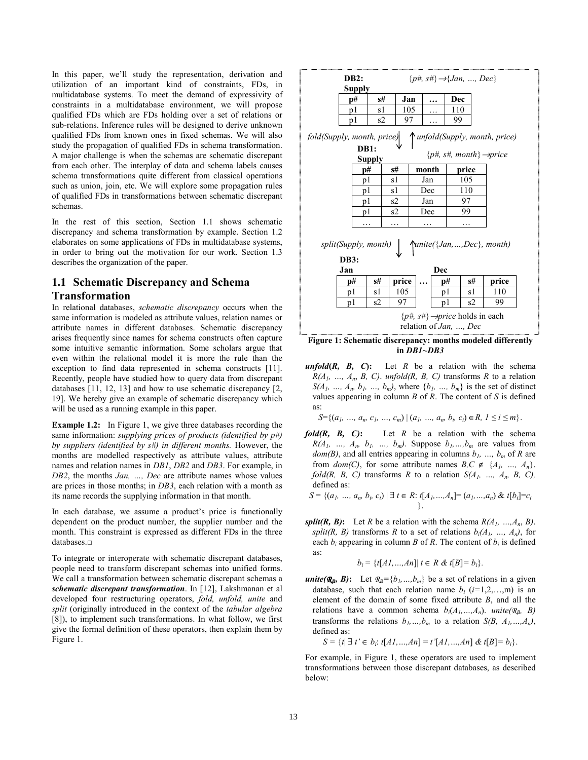In this paper, we'll study the representation, derivation and utilization of an important kind of constraints, FDs, in multidatabase systems. To meet the demand of expressivity of constraints in a multidatabase environment, we will propose qualified FDs which are FDs holding over a set of relations or sub-relations. Inference rules will be designed to derive unknown qualified FDs from known ones in fixed schemas. We will also study the propagation of qualified FDs in schema transformation. A major challenge is when the schemas are schematic discrepant from each other. The interplay of data and schema labels causes schema transformations quite different from classical operations such as union, join, etc. We will explore some propagation rules of qualified FDs in transformations between schematic discrepant schemas.

In the rest of this section, Section 1.1 shows schematic discrepancy and schema transformation by example. Section 1.2 elaborates on some applications of FDs in multidatabase systems, in order to bring out the motivation for our work. Section 1.3 describes the organization of the paper.

### **1.1 Schematic Discrepancy and Schema Transformation**

In relational databases, *schematic discrepancy* occurs when the same information is modeled as attribute values, relation names or attribute names in different databases. Schematic discrepancy arises frequently since names for schema constructs often capture some intuitive semantic information. Some scholars argue that even within the relational model it is more the rule than the exception to find data represented in schema constructs [11]. Recently, people have studied how to query data from discrepant databases [11, 12, 13] and how to use schematic discrepancy [2, 19]. We hereby give an example of schematic discrepancy which will be used as a running example in this paper.

**Example 1.2:** In Figure 1, we give three databases recording the same information: *supplying prices of products (identified by p#) by suppliers (identified by s#) in different months.* However, the months are modelled respectively as attribute values, attribute names and relation names in *DB1*, *DB2* and *DB3*. For example, in *DB2*, the months *Jan, …, Dec* are attribute names whose values are prices in those months; in *DB3*, each relation with a month as its name records the supplying information in that month.

In each database, we assume a product's price is functionally dependent on the product number, the supplier number and the month. This constraint is expressed as different FDs in the three databases.□

To integrate or interoperate with schematic discrepant databases, people need to transform discrepant schemas into unified forms. We call a transformation between schematic discrepant schemas a *schematic discrepant transformation*. In [12], Lakshmanan et al developed four restructuring operators, *fold, unfold, unite* and *split* (originally introduced in the context of the *tabular algebra* [8]), to implement such transformations. In what follow, we first give the formal definition of these operators, then explain them by Figure 1.



**Figure 1: Schematic discrepancy: months modeled differently in** *DB1~DB3*

 $unfold(R, B, C)$ : Let *R* be a relation with the schema  $R(A_1, ..., A_n, B, C)$ . *unfold*(*R, B, C*) transforms *R* to a relation  $S(A_1, ..., A_n, b_1, ..., b_m)$ , where  $\{b_1, ..., b_m\}$  is the set of distinct values appearing in column *B* of *R*. The content of *S* is defined as:

 $S = \{(a_1, ..., a_n, c_1, ..., c_m) | (a_1, ..., a_n, b_i, c_i) \in R, 1 \le i \le m\}.$ 

*fold(R, B, C)***:** Let *R* be a relation with the schema  $R(A_1, ..., A_n, b_1, ..., b_m)$ . Suppose  $b_1,...,b_m$  are values from *dom(B)*, and all entries appearing in columns  $b_1$ , ...,  $b_m$  of R are from  $dom(C)$ , for some attribute names  $B, C \notin \{A_1, ..., A_n\}$ .  $fold(R, B, C)$  transforms R to a relation  $S(A_1, ..., A_n, B, C)$ , defined as:

$$
S = \{(a_1, ..., a_n, b_i, c_i) | \exists t \in R : t[A_1, ..., A_n] = (a_1, ..., a_n) \& t[b_i] = c_i
$$
  
 }.

*split(R, B)***:** Let *R* be a relation with the schema  $R(A_1, ..., A_n, B)$ . split(R, B) transforms R to a set of relations  $b_i(A_1, ..., A_n)$ , for each  $b_i$  appearing in column *B* of *R*. The content of  $b_i$  is defined as:

 $b_i = \{t[A1, ..., An] | t \in R \& t[B] = b_i\}.$ 

*unite*( $\mathcal{R}_B$ , *B*): Let  $\mathcal{R}_B = \{b_1, ..., b_m\}$  be a set of relations in a given database, such that each relation name  $b_i$  ( $i=1,2,...,m$ ) is an element of the domain of some fixed attribute *B*, and all the relations have a common schema  $b_i(A_1, ..., A_n)$ . *unite*( $\mathcal{R}_B$ , *B*) transforms the relations  $b_1, ..., b_m$  to a relation  $S(B, A_1, ..., A_n)$ , defined as:

$$
S = \{t | \exists t' \in b_i : t[A1, ..., An] = t'[A1, ..., An] \& t[B] = b_i\}.
$$

For example, in Figure 1, these operators are used to implement transformations between those discrepant databases, as described below: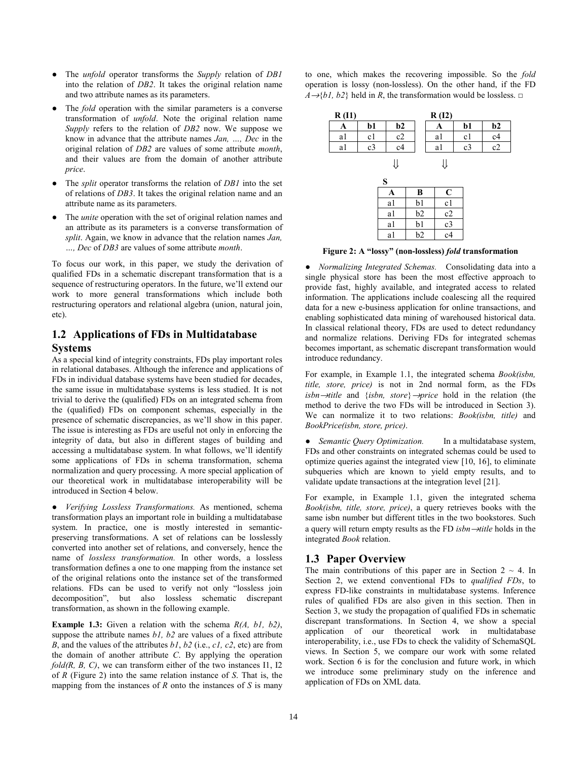- The *unfold* operator transforms the *Supply* relation of *DB1* into the relation of *DB2*. It takes the original relation name and two attribute names as its parameters.
- The *fold* operation with the similar parameters is a converse transformation of *unfold*. Note the original relation name *Supply* refers to the relation of *DB2* now. We suppose we know in advance that the attribute names *Jan, …, Dec* in the original relation of *DB2* are values of some attribute *month*, and their values are from the domain of another attribute *price*.
- The *split* operator transforms the relation of *DB1* into the set of relations of *DB3*. It takes the original relation name and an attribute name as its parameters.
- The *unite* operation with the set of original relation names and an attribute as its parameters is a converse transformation of *split*. Again, we know in advance that the relation names *Jan, …, Dec* of *DB3* are values of some attribute *month*.

To focus our work, in this paper, we study the derivation of qualified FDs in a schematic discrepant transformation that is a sequence of restructuring operators. In the future, we'll extend our work to more general transformations which include both restructuring operators and relational algebra (union, natural join, etc).

# **1.2 Applications of FDs in Multidatabase Systems**

As a special kind of integrity constraints, FDs play important roles in relational databases. Although the inference and applications of FDs in individual database systems have been studied for decades, the same issue in multidatabase systems is less studied. It is not trivial to derive the (qualified) FDs on an integrated schema from the (qualified) FDs on component schemas, especially in the presence of schematic discrepancies, as we'll show in this paper. The issue is interesting as FDs are useful not only in enforcing the integrity of data, but also in different stages of building and accessing a multidatabase system. In what follows, we'll identify some applications of FDs in schema transformation, schema normalization and query processing. A more special application of our theoretical work in multidatabase interoperability will be introduced in Section 4 below.

● *Verifying Lossless Transformations.* As mentioned, schema transformation plays an important role in building a multidatabase system. In practice, one is mostly interested in semanticpreserving transformations. A set of relations can be losslessly converted into another set of relations, and conversely, hence the name of *lossless transformation.* In other words, a lossless transformation defines a one to one mapping from the instance set of the original relations onto the instance set of the transformed relations. FDs can be used to verify not only "lossless join decomposition", but also lossless schematic discrepant transformation, as shown in the following example.

**Example 1.3:** Given a relation with the schema *R(A, b1, b2)*, suppose the attribute names *b1, b2* are values of a fixed attribute *B*, and the values of the attributes *b1*, *b2* (i.e., *c1, c2*, etc) are from the domain of another attribute *C*. By applying the operation *fold(R, B, C)*, we can transform either of the two instances I1, I2 of *R* (Figure 2) into the same relation instance of *S*. That is, the mapping from the instances of *R* onto the instances of *S* is many to one, which makes the recovering impossible. So the *fold*  operation is lossy (non-lossless). On the other hand, if the FD  $A\rightarrow\{b1, b2\}$  held in *R*, the transformation would be lossless. □

| R(I1) |                |        |    | R(I2)       |                |    |
|-------|----------------|--------|----|-------------|----------------|----|
| A     | b1             | b2     |    | A           | $b1$           | b2 |
| a1    | c1             | c2     |    | a1          | c1             | c4 |
| a1    | c <sub>3</sub> | c4     |    | a1          | c <sub>3</sub> | c2 |
|       |                | ⇓<br>S |    |             |                |    |
|       |                | A      | B  | $\mathbf C$ |                |    |
|       |                | a1     | b1 | c1          |                |    |
|       |                | a1     | b2 | c2          |                |    |
|       |                | a1     | b1 | c3          |                |    |
|       |                | a1     | b2 | c4          |                |    |
|       |                |        |    |             |                |    |

**Figure 2: A "lossy" (non-lossless)** *fold* **transformation** 

● *Normalizing Integrated Schemas.* Consolidating data into a single physical store has been the most effective approach to provide fast, highly available, and integrated access to related information. The applications include coalescing all the required data for a new e-business application for online transactions, and enabling sophisticated data mining of warehoused historical data. In classical relational theory, FDs are used to detect redundancy and normalize relations. Deriving FDs for integrated schemas becomes important, as schematic discrepant transformation would introduce redundancy.

For example, in Example 1.1, the integrated schema *Book(isbn, title, store, price)* is not in 2nd normal form, as the FDs *isbn*→*title* and {*isbn, store*}→*price* hold in the relation (the method to derive the two FDs will be introduced in Section 3). We can normalize it to two relations: *Book(isbn, title)* and *BookPrice(isbn, store, price)*.

● *Semantic Query Optimization.* In a multidatabase system, FDs and other constraints on integrated schemas could be used to optimize queries against the integrated view [10, 16], to eliminate subqueries which are known to yield empty results, and to validate update transactions at the integration level [21].

For example, in Example 1.1, given the integrated schema *Book(isbn, title, store, price)*, a query retrieves books with the same isbn number but different titles in the two bookstores. Such a query will return empty results as the FD *isbn*→*title* holds in the integrated *Book* relation.

### **1.3 Paper Overview**

The main contributions of this paper are in Section  $2 \sim 4$ . In Section 2, we extend conventional FDs to *qualified FDs*, to express FD-like constraints in multidatabase systems. Inference rules of qualified FDs are also given in this section. Then in Section 3, we study the propagation of qualified FDs in schematic discrepant transformations. In Section 4, we show a special application of our theoretical work in multidatabase interoperability, i.e., use FDs to check the validity of SchemaSQL views. In Section 5, we compare our work with some related work. Section 6 is for the conclusion and future work, in which we introduce some preliminary study on the inference and application of FDs on XML data.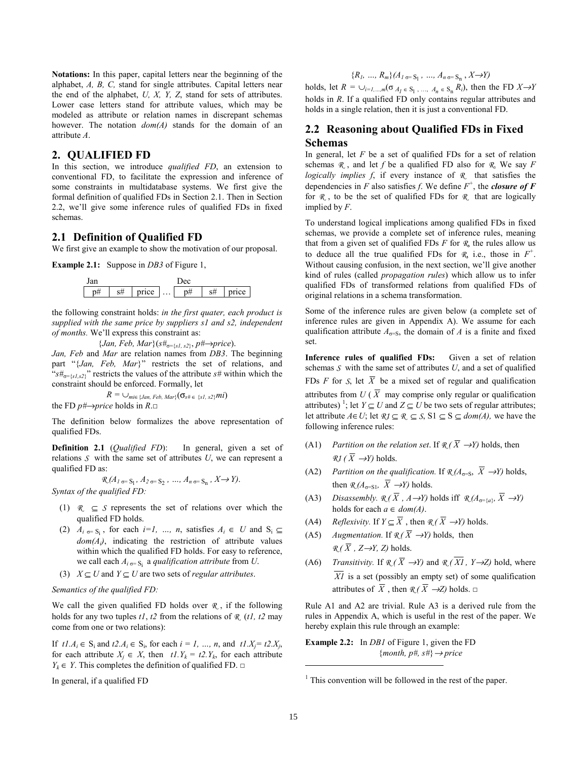**Notations:** In this paper, capital letters near the beginning of the alphabet, *A, B, C,* stand for single attributes. Capital letters near the end of the alphabet, *U, X, Y, Z*, stand for sets of attributes. Lower case letters stand for attribute values, which may be modeled as attribute or relation names in discrepant schemas however. The notation  $dom(A)$  stands for the domain of an attribute *A*.

#### **2. QUALIFIED FD**

In this section, we introduce *qualified FD*, an extension to conventional FD, to facilitate the expression and inference of some constraints in multidatabase systems. We first give the formal definition of qualified FDs in Section 2.1. Then in Section 2.2, we'll give some inference rules of qualified FDs in fixed schemas.

### **2.1 Definition of Qualified FD**

We first give an example to show the motivation of our proposal.

**Example 2.1:** Suppose in *DB3* of Figure 1,

| الله |     |     |   |      |        |
|------|-----|-----|---|------|--------|
|      | דוט | TCP | . | 17 ف | $mo$ . |

the following constraint holds: *in the first quater, each product is supplied with the same price by suppliers s1 and s2, independent of months.* We'll express this constraint as:

{*Jan, Feb, Mar*}(*s#*σ={*s1, s2*}, *p#*→*price*).

*Jan, Feb* and *Mar* are relation names from *DB3*. The beginning part "{*Jan, Feb, Mar*}" restricts the set of relations, and " $s#_{\sigma=\{s,l,s2\}}$ " restricts the values of the attribute  $s$ # within which the constraint should be enforced. Formally, let

$$
R = \bigcup_{m_i \in \{Jan, Feb, Mar\}} (\sigma_{s \# \in \{sI, s2\}} mi)
$$
  
the FD *p#*—*price* holds in  $R \Box$ 

The definition below formalizes the above representation of qualified FDs.

**Definition 2.1** (*Qualified FD*): In general, given a set of relations *S* with the same set of attributes *U*, we can represent a qualified FD as:

$$
\mathcal{R}(A_{1 \sigma = S_1}, A_{2 \sigma = S_2}, ..., A_{n \sigma = S_n}, X \rightarrow Y).
$$

*Syntax of the qualified FD:* 

- (1)  $\Re$   $\subseteq$  *S* represents the set of relations over which the qualified FD holds.
- (2)  $A_i = S_i$ , for each *i*=1, ..., *n*, satisfies  $A_i \in U$  and  $S_i \subseteq$  $dom(A_i)$ , indicating the restriction of attribute values within which the qualified FD holds. For easy to reference, we call each  $A_i$ <sub> $\sigma$ </sub> =  $S_i$  a *qualification attribute* from *U*.
- (3)  $X \subseteq U$  and  $Y \subseteq U$  are two sets of *regular attributes*.

*Semantics of the qualified FD:* 

We call the given qualified FD holds over  $R_{\text{A}}$ , if the following holds for any two tuples  $t1$ ,  $t2$  from the relations of  $R$  ( $t1$ ,  $t2$  may come from one or two relations):

If *t1.A<sub>i</sub>* ∈ S<sub>i</sub> and *t2.A<sub>i</sub>* ∈ S<sub>i</sub>, for each *i* = *1*, ..., *n*, and *t1.X<sub>j</sub>* = *t2.X<sub>j</sub>*, for each attribute  $X_i \in X$ , then  $t \in I$ .  $Y_k = t \in I$ . *Y<sub>k</sub>*, for each attribute *Y<sub>k</sub>* ∈ *Y*. This completes the definition of qualified FD.  $□$ 

In general, if a qualified FD

$$
\{R_1, \ldots, R_m\} (A_{I \sigma = S_1}, \ldots, A_{n \sigma = S_n}, X \rightarrow Y)
$$

holds, let  $R = \bigcup_{i=1,\dots,m} (\sigma_{A_i \in S_1, \dots, A_n \in S_n} R_i)$ , then the FD  $X \rightarrow Y$ holds in *R*. If a qualified FD only contains regular attributes and holds in a single relation, then it is just a conventional FD.

## **2.2 Reasoning about Qualified FDs in Fixed Schemas**

In general, let  $F$  be a set of qualified FDs for a set of relation schemas  $\mathcal{R}_1$ , and let *f* be a qualified FD also for  $\mathcal{R}_1$ . We say *F logically implies f*, if every instance of *R* that satisfies the dependencies in *F* also satisfies *f*. We define  $F^+$ , the *closure of F* for *R* , to be the set of qualified FDs for *R* that are logically implied by *F*.

To understand logical implications among qualified FDs in fixed schemas, we provide a complete set of inference rules, meaning that from a given set of qualified FDs  $F$  for  $\Re$ , the rules allow us to deduce all the true qualified FDs for  $\Re$ , i.e., those in  $F^+$ . Without causing confusion, in the next section, we'll give another kind of rules (called *propagation rules*) which allow us to infer qualified FDs of transformed relations from qualified FDs of original relations in a schema transformation.

Some of the inference rules are given below (a complete set of inference rules are given in Appendix A). We assume for each qualification attribute  $A_{\sigma=S}$ , the domain of *A* is a finite and fixed set.

**Inference rules of qualified FDs:** Given a set of relation schemas  $S$  with the same set of attributes  $U$ , and a set of qualified FDs *F* for *S*, let  $\overline{X}$  be a mixed set of regular and qualification attributes from  $U(\overline{X})$  may comprise only regular or qualification attributes)<sup>1</sup>; let *Y* ⊆ *U* and *Z* ⊆ *U* be two sets of regular attributes; let attribute *A*∈ *U*; let  $R_1 \subseteq R$  ⊆ *S*, S1 ⊆ S ⊆ *dom(A)*, we have the following inference rules:

- (A1) *Partition on the relation set.* If  $\mathbb{R}/(\overline{X} \rightarrow Y)$  holds, then *R1* ( $\overline{X}$  →*Y*) holds.
- (A2) *Partition on the qualification.* If  $\mathbb{R}$  *(A<sub>σ=S</sub>*,  $\overline{X} \rightarrow Y$ ) holds, then  $\mathcal{R}(A_{\sigma=S1}, \overline{X} \rightarrow Y)$  holds.
- (A3) *Disassembly.*  $\mathbb{R}(\overline{X}, A \rightarrow Y)$  holds iff  $\mathbb{R}(A_{\sigma=\{a\}}, \overline{X} \rightarrow Y)$ holds for each  $a \in dom(A)$ .
- (A4) *Reflexivity.* If  $Y \subseteq \overline{X}$ , then  $\mathcal{R}(\overline{X} \to Y)$  holds.
- (A5) *Augmentation.* If  $\mathbb{R}(\overline{X} \rightarrow Y)$  holds, then *R (*  $\overline{X}$  *, Z→Y, Z)* holds.
- (A6) *Transitivity.* If  $\mathcal{R}(\overline{X} \to Y)$  and  $\mathcal{R}(\overline{X} \to Y)$  hold, where  $\overline{XI}$  is a set (possibly an empty set) of some qualification attributes of  $\overline{X}$ , then  $\mathcal{R}(\overline{X} \to Z)$  holds.  $\Box$

Rule A1 and A2 are trivial. Rule A3 is a derived rule from the rules in Appendix A, which is useful in the rest of the paper. We hereby explain this rule through an example:

**Example 2.2:** In *DB1* of Figure 1, given the FD  ${month, p\#, s\#} \rightarrow price$ 

 $\overline{a}$ 

<sup>&</sup>lt;sup>1</sup> This convention will be followed in the rest of the paper.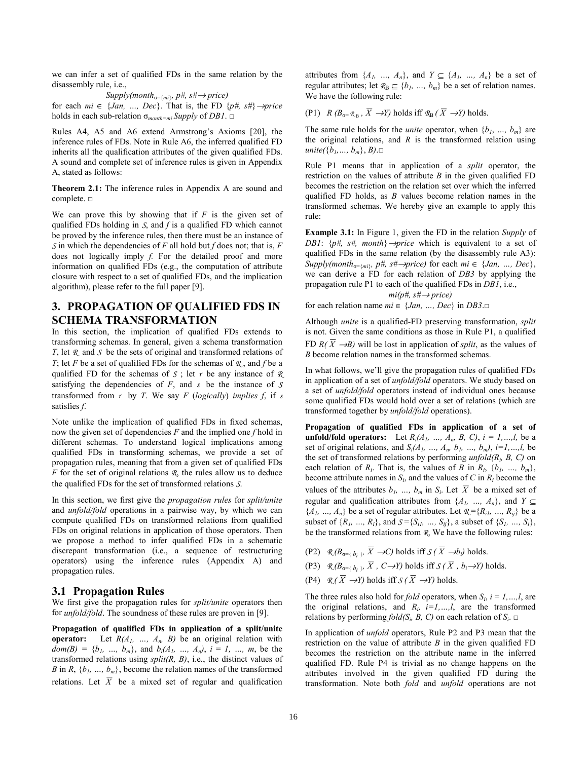we can infer a set of qualified FDs in the same relation by the disassembly rule, i.e.,

 $Supply(month_{\sigma=\{mi\}}, p\#$ *, s*# $\rightarrow$ *price*)

for each  $mi \in \{Jan, ..., Dec\}$ . That is, the FD  $\{p\#$ ,  $s\#$ }  $\rightarrow$ *price* holds in each sub-relation σ*month=mi Supply* of *DB1*. □

Rules A4, A5 and A6 extend Armstrong's Axioms [20], the inference rules of FDs. Note in Rule A6, the inferred qualified FD inherits all the qualification attributes of the given qualified FDs. A sound and complete set of inference rules is given in Appendix A, stated as follows:

**Theorem 2.1:** The inference rules in Appendix A are sound and complete. □

We can prove this by showing that if *F* is the given set of qualified FDs holding in *S*, and *f* is a qualified FD which cannot be proved by the inference rules, then there must be an instance of *S* in which the dependencies of *F* all hold but *f* does not; that is, *F* does not logically imply *f.* For the detailed proof and more information on qualified FDs (e.g., the computation of attribute closure with respect to a set of qualified FDs, and the implication algorithm), please refer to the full paper [9].

# **3. PROPAGATION OF QUALIFIED FDS IN SCHEMA TRANSFORMATION**

In this section, the implication of qualified FDs extends to transforming schemas. In general, given a schema transformation *T*, let *R* and *S* be the sets of original and transformed relations of *T*; let *F* be a set of qualified FDs for the schemas of *R* , and *f* be a qualified FD for the schemas of  $S$ ; let  $r$  be any instance of  $R$ satisfying the dependencies of  $F$ , and  $s$  be the instance of  $S$ transformed from  $r$  by *T*. We say *F* (*logically*) *implies f*, if *s* satisfies *f*.

Note unlike the implication of qualified FDs in fixed schemas, now the given set of dependencies *F* and the implied one *f* hold in different schemas. To understand logical implications among qualified FDs in transforming schemas, we provide a set of propagation rules, meaning that from a given set of qualified FDs *F* for the set of original relations *R*, the rules allow us to deduce the qualified FDs for the set of transformed relations *S*.

In this section, we first give the *propagation rules* for *split/unite*  and *unfold/fold* operations in a pairwise way, by which we can compute qualified FDs on transformed relations from qualified FDs on original relations in application of those operators. Then we propose a method to infer qualified FDs in a schematic discrepant transformation (i.e., a sequence of restructuring operators) using the inference rules (Appendix A) and propagation rules.

### **3.1 Propagation Rules**

We first give the propagation rules for *split/unite* operators then for *unfold/fold*. The soundness of these rules are proven in [9].

**Propagation of qualified FDs in application of a split/unite operator:** Let  $R(A_1, ..., A_n, B)$  be an original relation with  $dom(B) = \{b_1, ..., b_m\}$ , and  $b_i(A_1, ..., A_n)$ ,  $i = 1, ..., m$ , be the transformed relations using *split(R, B)*, i.e., the distinct values of *B* in *R*,  $\{b_1, ..., b_m\}$ , become the relation names of the transformed relations. Let  $\overline{X}$  be a mixed set of regular and qualification

attributes from  $\{A_1, ..., A_n\}$ , and  $Y \subseteq \{A_1, ..., A_n\}$  be a set of regular attributes; let  $\mathcal{R}_B \subseteq \{b_1, ..., b_m\}$  be a set of relation names. We have the following rule:

(P1) *R* ( $B_{\sigma} = \mathcal{R}_{\text{B}}$ ,  $\overline{X} \rightarrow Y$ ) holds iff  $\mathcal{R}_{\text{B}}(\overline{X} \rightarrow Y)$  holds.

The same rule holds for the *unite* operator, when  $\{b_1, ..., b_m\}$  are the original relations, and *R* is the transformed relation using *unite(*{*b1,…, bm*}, *B)*.□

Rule P1 means that in application of a *split* operator, the restriction on the values of attribute *B* in the given qualified FD becomes the restriction on the relation set over which the inferred qualified FD holds, as *B* values become relation names in the transformed schemas. We hereby give an example to apply this rule:

**Example 3.1:** In Figure 1, given the FD in the relation *Supply* of *DB1*: {*p*#, *s*#, *month*}→*price* which is equivalent to a set of qualified FDs in the same relation (by the disassembly rule A3): *Supply(month*<sub>σ={*mi*}</sub>*, p*#*, s*#→*price*) for each *mi* ∈ {*Jan, …, Dec*}, we can derive a FD for each relation of *DB3* by applying the propagation rule P1 to each of the qualified FDs in *DB1*, i.e.,

$$
mi(p\#, s\# \rightarrow price)
$$

for each relation name  $mi \in \{Jan, ..., Dec\}$  in  $DB3. \Box$ 

Although *unite* is a qualified-FD preserving transformation, *split* is not. Given the same conditions as those in Rule P1, a qualified FD  $R(\overline{X} \rightarrow B)$  will be lost in application of *split*, as the values of *B* become relation names in the transformed schemas.

In what follows, we'll give the propagation rules of qualified FDs in application of a set of *unfold/fold* operators. We study based on a set of *unfold/fold* operators instead of individual ones because some qualified FDs would hold over a set of relations (which are transformed together by *unfold/fold* operations).

**Propagation of qualified FDs in application of a set of unfold/fold operators:** Let  $R_i(A_1, ..., A_n, B, C)$ ,  $i = 1, ..., l$ , be a set of original relations, and  $S_i(A_1, ..., A_n, b_1, ..., b_m)$ ,  $i=1,...,l$ , be the set of transformed relations by performing *unfold(Ri, B, C)* on each relation of  $R_i$ . That is, the values of *B* in  $R_i$ ,  $\{b_1, ..., b_m\}$ , become attribute names in  $S_i$ , and the values of  $C$  in  $R_i$  become the values of the attributes  $b_1$ , ...,  $b_m$  in  $S_i$ . Let  $\overline{X}$  be a mixed set of regular and qualification attributes from  $\{A_1, ..., A_n\}$ , and  $Y \subseteq$  ${A_1, ..., A_n}$  be a set of regular attributes. Let  $\mathcal{R} = {R_{i1}, ..., R_{ij}}$  be a subset of  $\{R_1, ..., R_l\}$ , and  $S = \{S_{i1}, ..., S_{ij}\}$ , a subset of  $\{S_1, ..., S_l\}$ , be the transformed relations from *R*. We have the following rules:

- (P2)  $\mathbb{R}/B_{\sigma=\{b_i\}}$ ,  $\overline{X} \to C$ ) holds iff  $S(\overline{X} \to b_i)$  holds.
- (P3)  $\mathbb{R} (B_{\sigma=(b_i)}$ ,  $\overline{X}$ ,  $C \rightarrow Y$ ) holds iff  $S(\overline{X}, b_i \rightarrow Y)$  holds.
- (P4)  $\mathbb{R}(\overline{X} \to Y)$  holds iff  $\mathcal{S}(\overline{X} \to Y)$  holds.

The three rules also hold for *fold* operators, when  $S_i$ ,  $i = 1, ..., l$ , are the original relations, and  $R_i$ ,  $i=1,...,l$ , are the transformed relations by performing  $fold(S_i, B, C)$  on each relation of  $S_i$ . □

In application of *unfold* operators, Rule P2 and P3 mean that the restriction on the value of attribute *B* in the given qualified FD becomes the restriction on the attribute name in the inferred qualified FD. Rule P4 is trivial as no change happens on the attributes involved in the given qualified FD during the transformation. Note both *fold* and *unfold* operations are not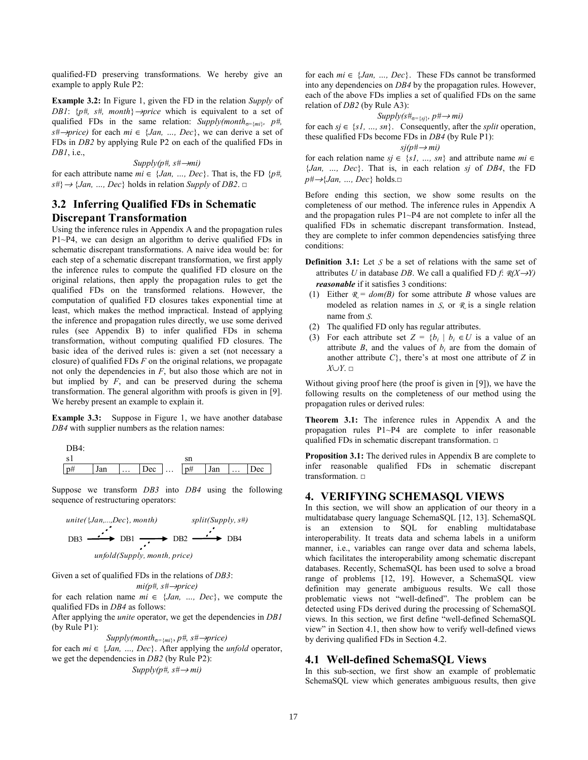qualified-FD preserving transformations. We hereby give an example to apply Rule P2:

**Example 3.2:** In Figure 1, given the FD in the relation *Supply* of *DB1*: {*p*#, *s*#, *month*}→*price* which is equivalent to a set of qualified FDs in the same relation: *Supply(month<sub>σ={mi}</sub>, p#,*  $s \# \rightarrow \text{price}$ ) for each  $mi \in \{ Jan, ..., Dec \}$ , we can derive a set of FDs in *DB2* by applying Rule P2 on each of the qualified FDs in *DB1*, i.e.,

#### *Supply(p#, s#*→*mi)*

for each attribute name  $mi \in \{Jan, ..., Dec\}$ . That is, the FD  $\{p\#$ ,  $s \nexists \rightarrow \{ Jan, ..., Dec \}$  holds in relation *Supply* of *DB2*. □

## **3.2 Inferring Qualified FDs in Schematic Discrepant Transformation**

Using the inference rules in Appendix A and the propagation rules P1~P4, we can design an algorithm to derive qualified FDs in schematic discrepant transformations. A naive idea would be: for each step of a schematic discrepant transformation, we first apply the inference rules to compute the qualified FD closure on the original relations, then apply the propagation rules to get the qualified FDs on the transformed relations. However, the computation of qualified FD closures takes exponential time at least, which makes the method impractical. Instead of applying the inference and propagation rules directly, we use some derived rules (see Appendix B) to infer qualified FDs in schema transformation, without computing qualified FD closures. The basic idea of the derived rules is: given a set (not necessary a closure) of qualified FDs *F* on the original relations, we propagate not only the dependencies in *F*, but also those which are not in but implied by *F*, and can be preserved during the schema transformation. The general algorithm with proofs is given in [9]. We hereby present an example to explain it.

**Example 3.3:** Suppose in Figure 1, we have another database *DB4* with supplier numbers as the relation names:



Suppose we transform *DB3* into *DB4* using the following sequence of restructuring operators:

$$
unite({3an,...,Dec}, month) \qquad split(Supply, s\#)
$$
  
DB3   
 
$$
\longrightarrow
$$
 DB1 
$$
\longrightarrow
$$
 DB2 
$$
\longrightarrow
$$
 DB4  
 
$$
unfold(Supply, month, price)
$$

Given a set of qualified FDs in the relations of *DB3*: *mi(p#, s#*→*price)* 

for each relation name  $mi \in \{Jan, ..., Dec\}$ , we compute the qualified FDs in *DB4* as follows:

After applying the *unite* operator, we get the dependencies in *DB1*  (by Rule P1):

 $Supply(month_{\sigma=\{mi\}}, p\#$ ,  $s\# \rightarrow price)$ for each  $mi \in \{Jan, ..., Dec\}$ . After applying the *unfold* operator, we get the dependencies in *DB2* (by Rule P2):  $Supply(p\#, s\# \rightarrow mi)$ 

for each  $mi \in \{Jan, ..., Dec\}$ . These FDs cannot be transformed into any dependencies on *DB4* by the propagation rules. However, each of the above FDs implies a set of qualified FDs on the same relation of *DB2* (by Rule A3):

$$
Supply(s\#_{\sigma=\{sj\}}, p\# \to mi)
$$

for each  $sj \in \{s1, ..., sn\}$ . Consequently, after the *split* operation, these qualified FDs become FDs in *DB4* (by Rule P1):

$$
sj(p \# \to mi)
$$

for each relation name  $sj \in \{s1, ..., sn\}$  and attribute name  $mi \in$ {*Jan, …, Dec*}. That is, in each relation *sj* of *DB4*, the FD *p#*→{*Jan, …, Dec*} holds.□

Before ending this section, we show some results on the completeness of our method. The inference rules in Appendix A and the propagation rules P1~P4 are not complete to infer all the qualified FDs in schematic discrepant transformation. Instead, they are complete to infer common dependencies satisfying three conditions:

- **Definition 3.1:** Let *S* be a set of relations with the same set of attributes *U* in database *DB*. We call a qualified FD  $f: \mathbb{R}(X \rightarrow Y)$ *reasonable* if it satisfies 3 conditions:
- (1) Either  $R = dom(B)$  for some attribute *B* whose values are modeled as relation names in *S*, or *R* is a single relation name from *S*.
- (2) The qualified FD only has regular attributes.
- (3) For each attribute set  $Z = \{b_i \mid b_i \in U \text{ is a value of an } \}$ attribute  $B$ , and the values of  $b_i$  are from the domain of another attribute *C*}, there's at most one attribute of *Z* in *X*∪*Y* □

Without giving proof here (the proof is given in [9]), we have the following results on the completeness of our method using the propagation rules or derived rules:

**Theorem 3.1:** The inference rules in Appendix A and the propagation rules P1~P4 are complete to infer reasonable qualified FDs in schematic discrepant transformation. □

**Proposition 3.1:** The derived rules in Appendix B are complete to infer reasonable qualified FDs in schematic discrepant transformation. □

### **4. VERIFYING SCHEMASQL VIEWS**

In this section, we will show an application of our theory in a multidatabase query language SchemaSQL [12, 13]. SchemaSQL is an extension to SQL for enabling multidatabase interoperability. It treats data and schema labels in a uniform manner, i.e., variables can range over data and schema labels, which facilitates the interoperability among schematic discrepant databases. Recently, SchemaSQL has been used to solve a broad range of problems [12, 19]. However, a SchemaSQL view definition may generate ambiguous results. We call those problematic views not "well-defined". The problem can be detected using FDs derived during the processing of SchemaSQL views. In this section, we first define "well-defined SchemaSQL view" in Section 4.1, then show how to verify well-defined views by deriving qualified FDs in Section 4.2.

#### **4.1 Well-defined SchemaSQL Views**

In this sub-section, we first show an example of problematic SchemaSQL view which generates ambiguous results, then give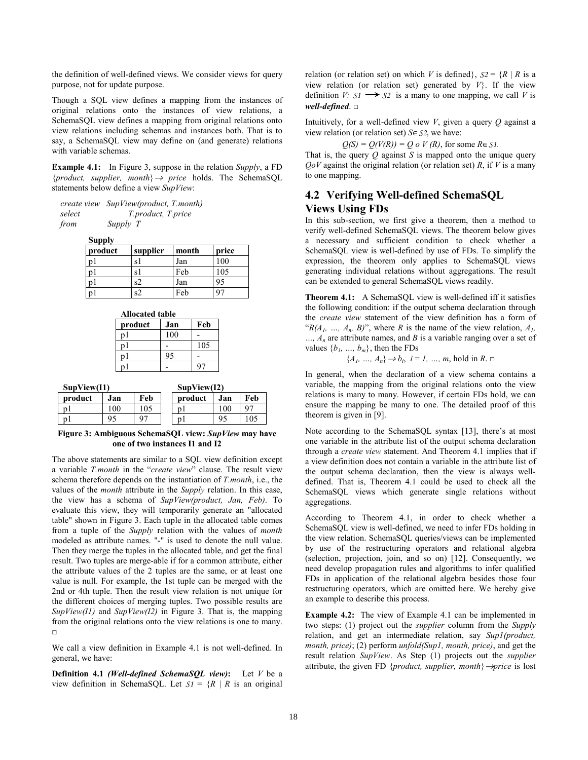the definition of well-defined views. We consider views for query purpose, not for update purpose.

Though a SQL view defines a mapping from the instances of original relations onto the instances of view relations, a SchemaSQL view defines a mapping from original relations onto view relations including schemas and instances both. That is to say, a SchemaSQL view may define on (and generate) relations with variable schemas.

**Example 4.1:** In Figure 3, suppose in the relation *Supply*, a FD {*product, supplier, month*}→ *price* holds. The SchemaSQL statements below define a view *SupView*:

|        | create view SupView(product, T.month) |
|--------|---------------------------------------|
| select | <i>T.product, T.price</i>             |
| from   | Supply T                              |

**Supply** 

| $v$ uppiy |          |       |       |  |  |
|-----------|----------|-------|-------|--|--|
| product   | supplier | month | price |  |  |
|           | sl       | Jan   | 100   |  |  |
|           | sl       | Feb   | 105   |  |  |
| pΙ        | s2       | Jan   | 95    |  |  |
|           | ິ        | Feb   |       |  |  |

#### **Allocated table**

| product | Jan | Feb |  |  |
|---------|-----|-----|--|--|
| n       | 100 |     |  |  |
| n       |     | 105 |  |  |
| n       | 95  |     |  |  |
|         |     |     |  |  |

| SupView(11) |     |     | SupView(I2) |         |     |     |
|-------------|-----|-----|-------------|---------|-----|-----|
| product     | Jan | Feb |             | product | Jan | Feb |
| p1          | 100 | 105 |             | n l     | 100 | 97  |
| n1          | 95  | Q7  |             | p١      | 95  | 105 |

#### **Figure 3: Ambiguous SchemaSQL view:** *SupView* **may have one of two instances I1 and I2**

The above statements are similar to a SQL view definition except a variable *T.month* in the "*create view*" clause. The result view schema therefore depends on the instantiation of *T.month*, i.e., the values of the *month* attribute in the *Supply* relation. In this case, the view has a schema of *SupView(product, Jan, Feb)*. To evaluate this view, they will temporarily generate an "allocated table" shown in Figure 3. Each tuple in the allocated table comes from a tuple of the *Supply* relation with the values of *month* modeled as attribute names. "-" is used to denote the null value. Then they merge the tuples in the allocated table, and get the final result. Two tuples are merge-able if for a common attribute, either the attribute values of the 2 tuples are the same, or at least one value is null. For example, the 1st tuple can be merged with the 2nd or 4th tuple. Then the result view relation is not unique for the different choices of merging tuples. Two possible results are *SupView(I1)* and *SupView(I2)* in Figure 3. That is, the mapping from the original relations onto the view relations is one to many.  $\Box$ 

We call a view definition in Example 4.1 is not well-defined. In general, we have:

**Definition 4.1** *(Well-defined SchemaSQL view)***:** Let *V* be a view definition in SchemaSQL. Let  $S_1 = \{R \mid R \text{ is an original}\}\$  relation (or relation set) on which *V* is defined},  $Sz = {R | R$  is a view relation (or relation set) generated by *V*}. If the view definition *V:*  $s_1 \rightarrow s_2$  is a many to one mapping, we call *V* is *well-defined*. □

Intuitively, for a well-defined view *V*, given a query *Q* against a view relation (or relation set) *S*∈*S2*, we have:

#### $Q(S) = Q(V(R)) = Q o V(R)$ , for some  $R \in S1$ .

That is, the query  $O$  against  $S$  is mapped onto the unique query *Q* $oV$  against the original relation (or relation set) *R*, if *V* is a many to one mapping.

### **4.2 Verifying Well-defined SchemaSQL Views Using FDs**

In this sub-section, we first give a theorem, then a method to verify well-defined SchemaSQL views. The theorem below gives a necessary and sufficient condition to check whether a SchemaSQL view is well-defined by use of FDs. To simplify the expression, the theorem only applies to SchemaSQL views generating individual relations without aggregations. The result can be extended to general SchemaSQL views readily.

**Theorem 4.1:** A SchemaSQL view is well-defined iff it satisfies the following condition: if the output schema declaration through the *create view* statement of the view definition has a form of " $R(A_1, ..., A_n, B)$ ", where *R* is the name of the view relation,  $A_1$ , *…, An* are attribute names, and *B* is a variable ranging over a set of values  ${b_1, ..., b_m}$ , then the FDs

$$
\{A_1, ..., A_n\} \to b_i, \ i = 1, ..., m, \text{hold in } R. \ \Box
$$

In general, when the declaration of a view schema contains a variable, the mapping from the original relations onto the view relations is many to many. However, if certain FDs hold, we can ensure the mapping be many to one. The detailed proof of this theorem is given in [9].

Note according to the SchemaSQL syntax [13], there's at most one variable in the attribute list of the output schema declaration through a *create view* statement. And Theorem 4.1 implies that if a view definition does not contain a variable in the attribute list of the output schema declaration, then the view is always welldefined. That is, Theorem 4.1 could be used to check all the SchemaSQL views which generate single relations without aggregations.

According to Theorem 4.1, in order to check whether a SchemaSQL view is well-defined, we need to infer FDs holding in the view relation. SchemaSQL queries/views can be implemented by use of the restructuring operators and relational algebra (selection, projection, join, and so on) [12]. Consequently, we need develop propagation rules and algorithms to infer qualified FDs in application of the relational algebra besides those four restructuring operators, which are omitted here. We hereby give an example to describe this process.

**Example 4.2:** The view of Example 4.1 can be implemented in two steps: (1) project out the *supplier* column from the *Supply* relation, and get an intermediate relation, say *Sup1(product, month, price)*; (2) perform *unfold(Sup1, month, price)*, and get the result relation *SupView*. As Step (1) projects out the *supplier* attribute, the given FD {*product, supplier, month*}→*price* is lost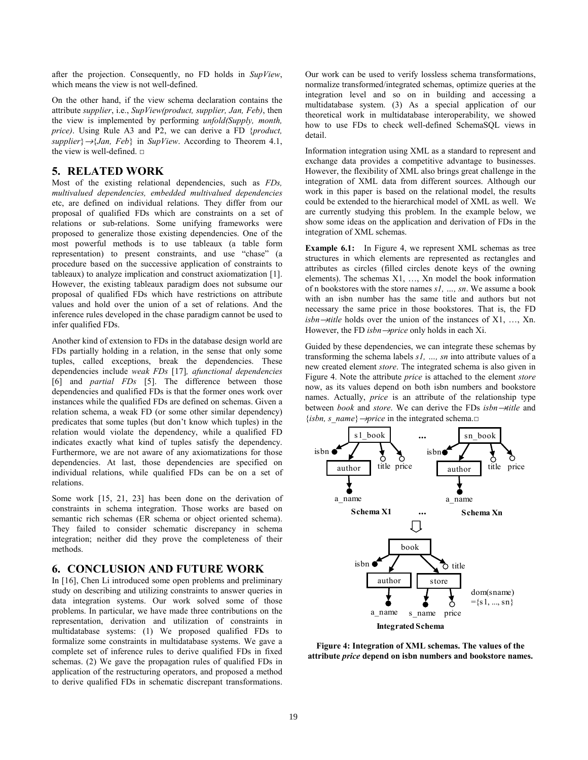after the projection. Consequently, no FD holds in *SupView*, which means the view is not well-defined.

On the other hand, if the view schema declaration contains the attribute *supplier*, i.e., *SupView(product, supplier, Jan, Feb)*, then the view is implemented by performing *unfold(Supply, month, price)*. Using Rule A3 and P2, we can derive a FD {*product,*   $supplier$ }  $\rightarrow$ {*Jan, Feb*} in *SupView*. According to Theorem 4.1, the view is well-defined.  $\square$ 

### **5. RELATED WORK**

Most of the existing relational dependencies, such as *FDs, multivalued dependencies, embedded multivalued dependencies* etc, are defined on individual relations. They differ from our proposal of qualified FDs which are constraints on a set of relations or sub-relations. Some unifying frameworks were proposed to generalize those existing dependencies. One of the most powerful methods is to use tableaux (a table form representation) to present constraints, and use "chase" (a procedure based on the successive application of constraints to tableaux) to analyze implication and construct axiomatization [1]. However, the existing tableaux paradigm does not subsume our proposal of qualified FDs which have restrictions on attribute values and hold over the union of a set of relations. And the inference rules developed in the chase paradigm cannot be used to infer qualified FDs.

Another kind of extension to FDs in the database design world are FDs partially holding in a relation, in the sense that only some tuples, called exceptions, break the dependencies. These dependencies include *weak FDs* [17]*, afunctional dependencies* [6] and *partial FDs* [5]. The difference between those dependencies and qualified FDs is that the former ones work over instances while the qualified FDs are defined on schemas. Given a relation schema, a weak FD (or some other similar dependency) predicates that some tuples (but don't know which tuples) in the relation would violate the dependency, while a qualified FD indicates exactly what kind of tuples satisfy the dependency. Furthermore, we are not aware of any axiomatizations for those dependencies. At last, those dependencies are specified on individual relations, while qualified FDs can be on a set of relations.

Some work [15, 21, 23] has been done on the derivation of constraints in schema integration. Those works are based on semantic rich schemas (ER schema or object oriented schema). They failed to consider schematic discrepancy in schema integration; neither did they prove the completeness of their methods.

# **6. CONCLUSION AND FUTURE WORK**

In [16], Chen Li introduced some open problems and preliminary study on describing and utilizing constraints to answer queries in data integration systems. Our work solved some of those problems. In particular, we have made three contributions on the representation, derivation and utilization of constraints in multidatabase systems: (1) We proposed qualified FDs to formalize some constraints in multidatabase systems. We gave a complete set of inference rules to derive qualified FDs in fixed schemas. (2) We gave the propagation rules of qualified FDs in application of the restructuring operators, and proposed a method to derive qualified FDs in schematic discrepant transformations.

Our work can be used to verify lossless schema transformations, normalize transformed/integrated schemas, optimize queries at the integration level and so on in building and accessing a multidatabase system. (3) As a special application of our theoretical work in multidatabase interoperability, we showed how to use FDs to check well-defined SchemaSQL views in detail.

Information integration using XML as a standard to represent and exchange data provides a competitive advantage to businesses. However, the flexibility of XML also brings great challenge in the integration of XML data from different sources. Although our work in this paper is based on the relational model, the results could be extended to the hierarchical model of XML as well. We are currently studying this problem. In the example below, we show some ideas on the application and derivation of FDs in the integration of XML schemas.

**Example 6.1:** In Figure 4, we represent XML schemas as tree structures in which elements are represented as rectangles and attributes as circles (filled circles denote keys of the owning elements). The schemas X1, …, Xn model the book information of n bookstores with the store names *s1, …, sn*. We assume a book with an isbn number has the same title and authors but not necessary the same price in those bookstores. That is, the FD  $i_{s}$ *isbn* $\rightarrow$ *title* holds over the union of the instances of X1, …, Xn. However, the FD *isbn*→*price* only holds in each Xi.

Guided by these dependencies, we can integrate these schemas by transforming the schema labels *s1, …, sn* into attribute values of a new created element *store*. The integrated schema is also given in Figure 4. Note the attribute *price* is attached to the element *store* now, as its values depend on both isbn numbers and bookstore names. Actually, *price* is an attribute of the relationship type between *book* and *store*. We can derive the FDs *isbn*→*title* and {*isbn, s\_name*}→*price* in the integrated schema.□



**Figure 4: Integration of XML schemas. The values of the attribute** *price* **depend on isbn numbers and bookstore names.**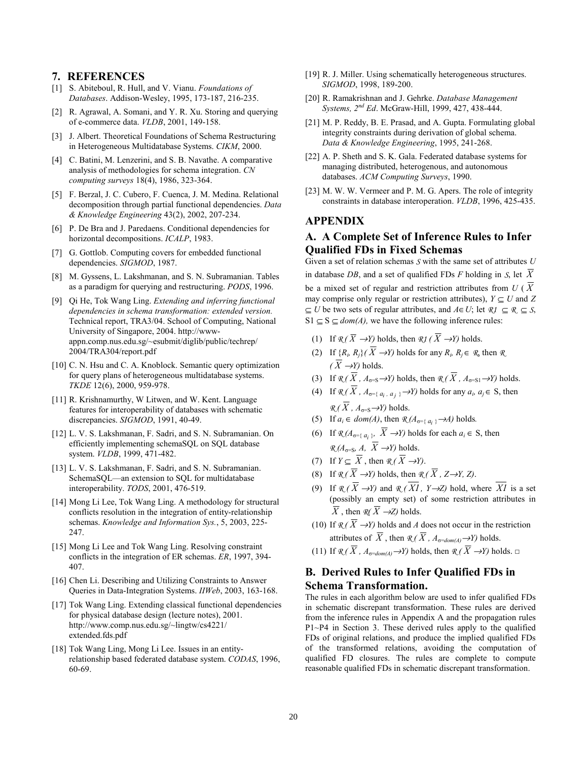#### **7. REFERENCES**

- [1] S. Abiteboul, R. Hull, and V. Vianu. *Foundations of Databases*. Addison-Wesley, 1995, 173-187, 216-235.
- [2] R. Agrawal, A. Somani, and Y. R. Xu. Storing and querying of e-commerce data. *VLDB*, 2001, 149-158.
- [3] J. Albert. Theoretical Foundations of Schema Restructuring in Heterogeneous Multidatabase Systems. *CIKM*, 2000.
- [4] C. Batini, M. Lenzerini, and S. B. Navathe. A comparative analysis of methodologies for schema integration. *CN computing surveys* 18(4), 1986, 323-364.
- [5] F. Berzal, J. C. Cubero, F. Cuenca, J. M. Medina. Relational decomposition through partial functional dependencies. *Data & Knowledge Engineering* 43(2), 2002, 207-234.
- [6] P. De Bra and J. Paredaens. Conditional dependencies for horizontal decompositions. *ICALP*, 1983.
- [7] G. Gottlob. Computing covers for embedded functional dependencies. *SIGMOD*, 1987.
- [8] M. Gyssens, L. Lakshmanan, and S. N. Subramanian. Tables as a paradigm for querying and restructuring. *PODS*, 1996.
- [9] Qi He, Tok Wang Ling. *Extending and inferring functional dependencies in schema transformation: extended version.*  Technical report, TRA3/04. School of Computing, National University of Singapore, 2004. http://wwwappn.comp.nus.edu.sg/~esubmit/diglib/public/techrep/ 2004/TRA304/report.pdf
- [10] C. N. Hsu and C. A. Knoblock. Semantic query optimization for query plans of heterogeneous multidatabase systems. *TKDE* 12(6), 2000, 959-978.
- [11] R. Krishnamurthy, W Litwen, and W. Kent. Language features for interoperability of databases with schematic discrepancies. *SIGMOD*, 1991, 40-49.
- [12] L. V. S. Lakshmanan, F. Sadri, and S. N. Subramanian. On efficiently implementing schemaSQL on SQL database system. *VLDB*, 1999, 471-482.
- [13] L. V. S. Lakshmanan, F. Sadri, and S. N. Subramanian. SchemaSQL—an extension to SQL for multidatabase interoperability. *TODS*, 2001, 476-519.
- [14] Mong Li Lee, Tok Wang Ling. A methodology for structural conflicts resolution in the integration of entity-relationship schemas. *Knowledge and Information Sys.*, 5, 2003, 225- 247.
- [15] Mong Li Lee and Tok Wang Ling. Resolving constraint conflicts in the integration of ER schemas. *ER*, 1997, 394- 407.
- [16] Chen Li. Describing and Utilizing Constraints to Answer Queries in Data-Integration Systems. *IIWeb*, 2003, 163-168.
- [17] Tok Wang Ling. Extending classical functional dependencies for physical database design (lecture notes), 2001. http://www.comp.nus.edu.sg/~lingtw/cs4221/ extended.fds.pdf
- [18] Tok Wang Ling, Mong Li Lee. Issues in an entityrelationship based federated database system. *CODAS*, 1996, 60-69.
- [19] R. J. Miller. Using schematically heterogeneous structures. *SIGMOD*, 1998, 189-200.
- [20] R. Ramakrishnan and J. Gehrke. *Database Management Systems, 2nd Ed*. McGraw-Hill, 1999, 427, 438-444.
- [21] M. P. Reddy, B. E. Prasad, and A. Gupta. Formulating global integrity constraints during derivation of global schema. *Data & Knowledge Engineering*, 1995, 241-268.
- [22] A. P. Sheth and S. K. Gala. Federated database systems for managing distributed, heterogenous, and autonomous databases. *ACM Computing Surveys*, 1990.
- [23] M. W. W. Vermeer and P. M. G. Apers. The role of integrity constraints in database interoperation. *VLDB*, 1996, 425-435.

### **APPENDIX**

# **A. A Complete Set of Inference Rules to Infer Qualified FDs in Fixed Schemas**

Given a set of relation schemas *S* with the same set of attributes *U* in database *DB*, and a set of qualified FDs *F* holding in *S*, let  $\overline{X}$ be a mixed set of regular and restriction attributes from *U* ( $\overline{X}$ may comprise only regular or restriction attributes),  $Y \subseteq U$  and  $Z$  $\subseteq$  *U* be two sets of regular attributes, and  $A \in U$ ; let  $R1 \subseteq R \subseteq S$ ,  $S1 \subseteq S \subseteq dom(A)$ , we have the following inference rules:

- (1) If  $\mathcal{R}(\overline{X} \to Y)$  holds, then  $\mathcal{R}(\overline{X} \to Y)$  holds.
- (2) If  ${R_i, R_i}(\overline{X} \to Y)$  holds for any  $R_i, R_j \in \mathbb{R}$ , then  $\mathbb{R}$  $(\overline{X}$  →*Y*) holds.
- (3) If  $\mathcal{R}(\overline{X}, A_{\sigma=S} \to Y)$  holds, then  $\mathcal{R}(\overline{X}, A_{\sigma=S1} \to Y)$  holds.
- (4) If  $\mathcal{R}(\overline{X}, A_{\sigma=\{a_i, a_j\}} \to Y)$  holds for any  $a_i, a_j \in S$ , then *R(*  $\overline{X}$ *, A*<sub>σ=S</sub>→*Y*) holds.
- (5) If  $a_i \in dom(A)$ , then  $\mathcal{R}(A_{\sigma= \{a_i\}} \rightarrow A)$  holds.
- (6) If  $\mathbb{R}(A_{\sigma=\{a_i\}}$ *,*  $\overline{X} \rightarrow Y$ ) holds for each  $a_i \in S$ , then  $\mathbb{R}(A_{\sigma=S}, A, \overline{X} \rightarrow Y)$  holds.
- (7) If  $Y \subset \overline{X}$ , then  $\mathcal{R}(\overline{X} \to Y)$ .
- (8) If  $\mathcal{R}(\overline{X} \to Y)$  holds, then  $\mathcal{R}(\overline{X}, Z \to Y, Z)$ .
- (9) If  $\mathbb{R}(\overline{X} \to Y)$  and  $\mathbb{R}(\overline{X} \cdot Y \to Z)$  hold, where  $\overline{X} \cdot \overline{X}$  is a set (possibly an empty set) of some restriction attributes in  $\overline{X}$ , then  $\mathbb{R}(\overline{X} \rightarrow Z)$  holds.
- (10) If  $\mathcal{R}$  ( $\overline{X}$   $\rightarrow$ *Y*) holds and *A* does not occur in the restriction attributes of  $\overline{X}$ , then  $\mathcal{R}(\overline{X}, A_{\sigma=dom(A)} \rightarrow Y)$  holds.
- (11) If  $\mathbb{R}(\overline{X}, A_{\sigma=dom(A)} \to Y)$  holds, then  $\mathbb{R}(\overline{X} \to Y)$  holds.  $\Box$

### **B. Derived Rules to Infer Qualified FDs in Schema Transformation.**

The rules in each algorithm below are used to infer qualified FDs in schematic discrepant transformation. These rules are derived from the inference rules in Appendix A and the propagation rules P1~P4 in Section 3. These derived rules apply to the qualified FDs of original relations, and produce the implied qualified FDs of the transformed relations, avoiding the computation of qualified FD closures. The rules are complete to compute reasonable qualified FDs in schematic discrepant transformation.